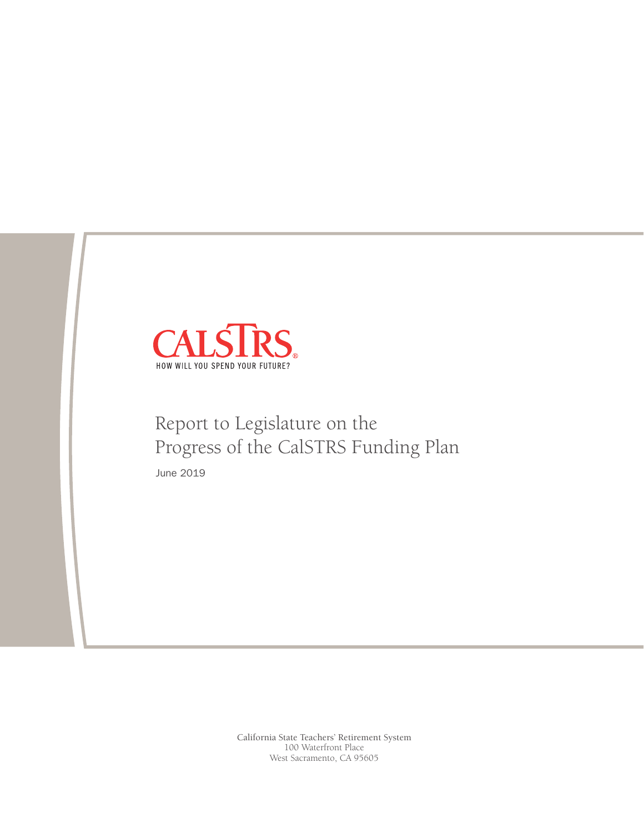

# Report to Legislature on the Progress of the CalSTRS Funding Plan

June 2019

California State Teachers' Retirement System 100 Waterfront Place West Sacramento, CA 95605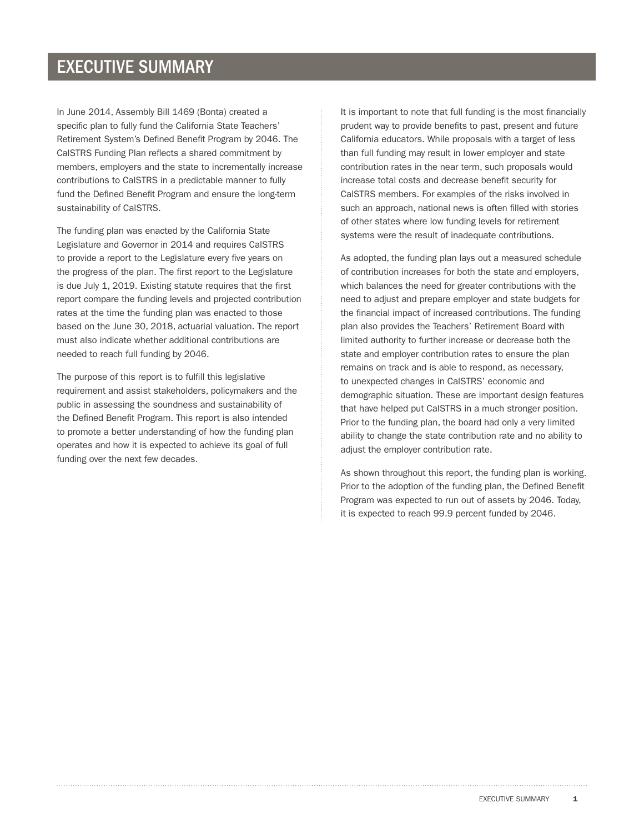In June 2014, Assembly Bill 1469 (Bonta) created a specific plan to fully fund the California State Teachers' Retirement System's Defined Benefit Program by 2046. The CalSTRS Funding Plan reflects a shared commitment by members, employers and the state to incrementally increase contributions to CalSTRS in a predictable manner to fully fund the Defined Benefit Program and ensure the long-term sustainability of CalSTRS.

The funding plan was enacted by the California State Legislature and Governor in 2014 and requires CalSTRS to provide a report to the Legislature every five years on the progress of the plan. The first report to the Legislature is due July 1, 2019. Existing statute requires that the first report compare the funding levels and projected contribution rates at the time the funding plan was enacted to those based on the June 30, 2018, actuarial valuation. The report must also indicate whether additional contributions are needed to reach full funding by 2046.

The purpose of this report is to fulfill this legislative requirement and assist stakeholders, policymakers and the public in assessing the soundness and sustainability of the Defined Benefit Program. This report is also intended to promote a better understanding of how the funding plan operates and how it is expected to achieve its goal of full funding over the next few decades.

It is important to note that full funding is the most financially prudent way to provide benefits to past, present and future California educators. While proposals with a target of less than full funding may result in lower employer and state contribution rates in the near term, such proposals would increase total costs and decrease benefit security for CalSTRS members. For examples of the risks involved in such an approach, national news is often filled with stories of other states where low funding levels for retirement systems were the result of inadequate contributions.

As adopted, the funding plan lays out a measured schedule of contribution increases for both the state and employers, which balances the need for greater contributions with the need to adjust and prepare employer and state budgets for the financial impact of increased contributions. The funding plan also provides the Teachers' Retirement Board with limited authority to further increase or decrease both the state and employer contribution rates to ensure the plan remains on track and is able to respond, as necessary, to unexpected changes in CalSTRS' economic and demographic situation. These are important design features that have helped put CalSTRS in a much stronger position. Prior to the funding plan, the board had only a very limited ability to change the state contribution rate and no ability to adjust the employer contribution rate.

As shown throughout this report, the funding plan is working. Prior to the adoption of the funding plan, the Defined Benefit Program was expected to run out of assets by 2046. Today, it is expected to reach 99.9 percent funded by 2046.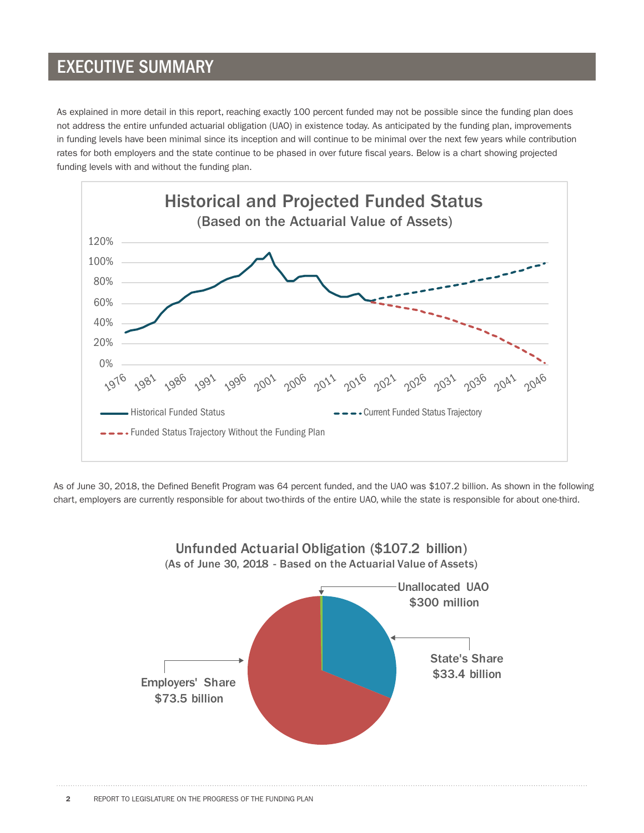As explained in more detail in this report, reaching exactly 100 percent funded may not be possible since the funding plan does not address the entire unfunded actuarial obligation (UAO) in existence today. As anticipated by the funding plan, improvements in funding levels have been minimal since its inception and will continue to be minimal over the next few years while contribution rates for both employers and the state continue to be phased in over future fiscal years. Below is a chart showing projected funding levels with and without the funding plan.



As of June 30, 2018, the Defined Benefit Program was 64 percent funded, and the UAO was \$107.2 billion. As shown in the following chart, employers are currently responsible for about two-thirds of the entire UAO, while the state is responsible for about one-third.

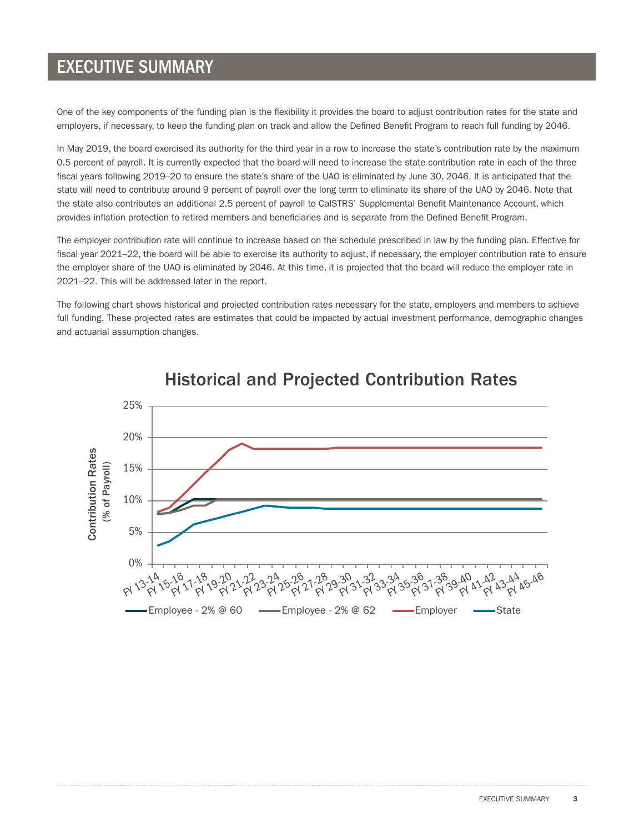One of the key components of the funding plan is the flexibility it provides the board to adjust contribution rates for the state and employers, if necessary, to keep the funding plan on track and allow the Defined Benefit Program to reach full funding by 2046.

In May 2019, the board exercised its authority for the third year in a row to increase the state's contribution rate by the maximum 0.5 percent of payroll. It is currently expected that the board will need to increase the state contribution rate in each of the three fiscal years following 2019–20 to ensure the state's share of the UAO is eliminated by June 30, 2046. It is anticipated that the state will need to contribute around 9 percent of payroll over the long term to eliminate its share of the UAO by 2046. Note that the state also contributes an additional 2.5 percent of payroll to CalSTRS' Supplemental Benefit Maintenance Account, which provides inflation protection to retired members and beneficiaries and is separate from the Defined Benefit Program.

The employer contribution rate will continue to increase based on the schedule prescribed in law by the funding plan. Effective for fiscal year 2021–22, the board will be able to exercise its authority to adjust, if necessary, the employer contribution rate to ensure the employer share of the UAO is eliminated by 2046. At this time, it is projected that the board will reduce the employer rate in 2021–22. This will be addressed later in the report.

The following chart shows historical and projected contribution rates necessary for the state, employers and members to achieve full funding. These projected rates are estimates that could be impacted by actual investment performance, demographic changes and actuarial assumption changes.



#### **Historical and Projected Contribution Rates**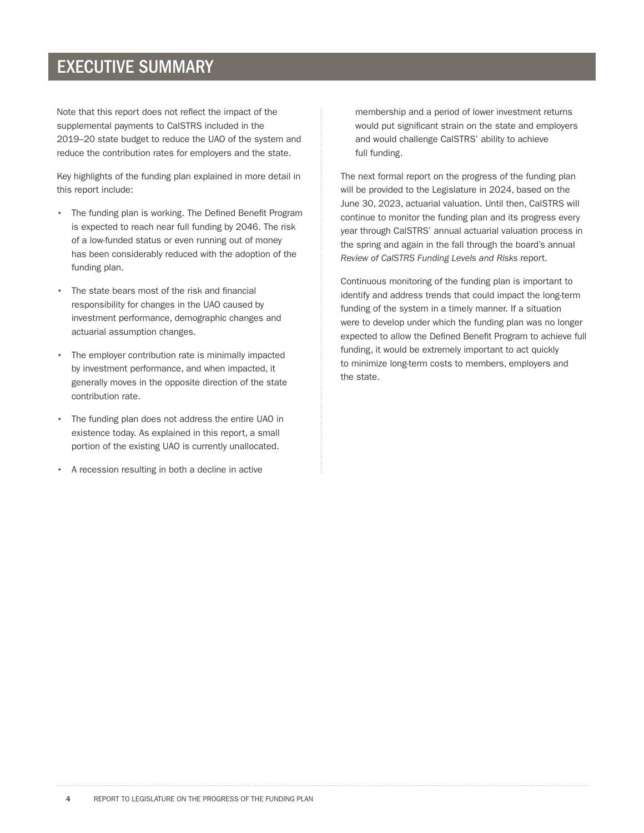Note that this report does not reflect the impact of the supplemental payments to CalSTRS included in the 2019–20 state budget to reduce the UAO of the system and reduce the contribution rates for employers and the state.

Key highlights of the funding plan explained in more detail in this report include:

- The funding plan is working. The Defined Benefit Program is expected to reach near full funding by 2046. The risk of a low-funded status or even running out of money has been considerably reduced with the adoption of the funding plan.
- The state bears most of the risk and financial responsibility for changes in the UAO caused by investment performance, demographic changes and actuarial assumption changes.
- The employer contribution rate is minimally impacted by investment performance, and when impacted, it generally moves in the opposite direction of the state contribution rate.
- The funding plan does not address the entire UAO in existence today. As explained in this report, a small portion of the existing UAO is currently unallocated.
- A recession resulting in both a decline in active

membership and a period of lower investment returns would put significant strain on the state and employers and would challenge CalSTRS' ability to achieve full funding.

The next formal report on the progress of the funding plan will be provided to the Legislature in 2024, based on the June 30, 2023, actuarial valuation. Until then, CalSTRS will continue to monitor the funding plan and its progress every year through CalSTRS' annual actuarial valuation process in the spring and again in the fall through the board's annual *Review of CalSTRS Funding Levels and Risks* report.

Continuous monitoring of the funding plan is important to identify and address trends that could impact the long-term funding of the system in a timely manner. If a situation were to develop under which the funding plan was no longer expected to allow the Defined Benefit Program to achieve full funding, it would be extremely important to act quickly to minimize long-term costs to members, employers and the state.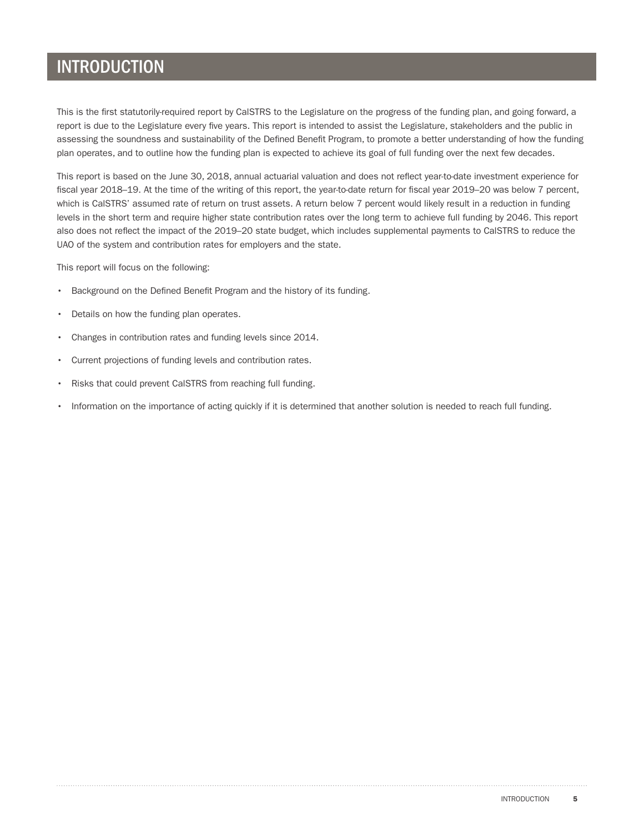#### INTRODUCTION

This is the first statutorily-required report by CalSTRS to the Legislature on the progress of the funding plan, and going forward, a report is due to the Legislature every five years. This report is intended to assist the Legislature, stakeholders and the public in assessing the soundness and sustainability of the Defined Benefit Program, to promote a better understanding of how the funding plan operates, and to outline how the funding plan is expected to achieve its goal of full funding over the next few decades.

This report is based on the June 30, 2018, annual actuarial valuation and does not reflect year-to-date investment experience for fiscal year 2018–19. At the time of the writing of this report, the year-to-date return for fiscal year 2019–20 was below 7 percent, which is CalSTRS' assumed rate of return on trust assets. A return below 7 percent would likely result in a reduction in funding levels in the short term and require higher state contribution rates over the long term to achieve full funding by 2046. This report also does not reflect the impact of the 2019–20 state budget, which includes supplemental payments to CalSTRS to reduce the UAO of the system and contribution rates for employers and the state.

This report will focus on the following:

- Background on the Defined Benefit Program and the history of its funding.
- Details on how the funding plan operates.
- Changes in contribution rates and funding levels since 2014.
- Current projections of funding levels and contribution rates.
- Risks that could prevent CalSTRS from reaching full funding.
- Information on the importance of acting quickly if it is determined that another solution is needed to reach full funding.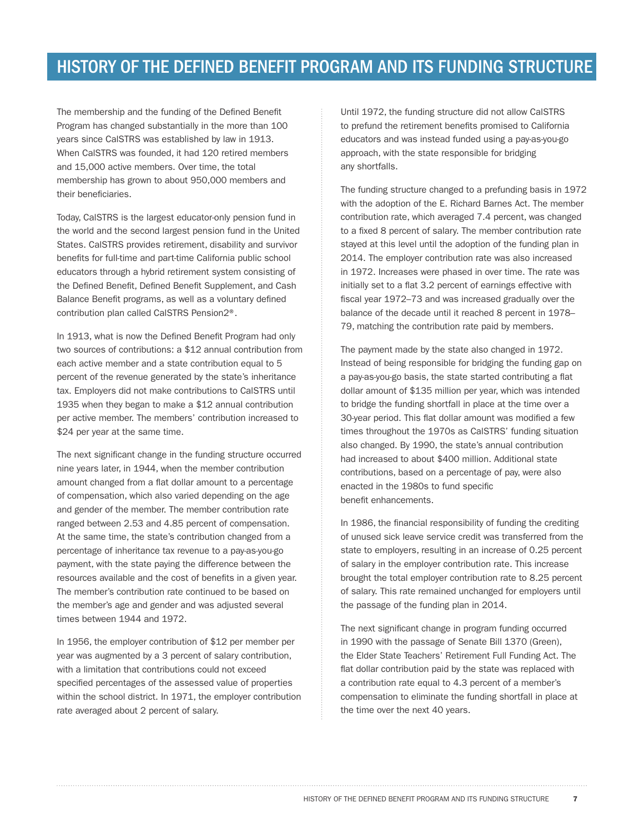#### HISTORY OF THE DEFINED BENEFIT PROGRAM AND ITS FUNDING STRUCTURE

The membership and the funding of the Defined Benefit Program has changed substantially in the more than 100 years since CalSTRS was established by law in 1913. When CalSTRS was founded, it had 120 retired members and 15,000 active members. Over time, the total membership has grown to about 950,000 members and their beneficiaries.

Today, CalSTRS is the largest educator-only pension fund in the world and the second largest pension fund in the United States. CalSTRS provides retirement, disability and survivor benefits for full-time and part-time California public school educators through a hybrid retirement system consisting of the Defined Benefit, Defined Benefit Supplement, and Cash Balance Benefit programs, as well as a voluntary defined contribution plan called CalSTRS Pension2®.

In 1913, what is now the Defined Benefit Program had only two sources of contributions: a \$12 annual contribution from each active member and a state contribution equal to 5 percent of the revenue generated by the state's inheritance tax. Employers did not make contributions to CalSTRS until 1935 when they began to make a \$12 annual contribution per active member. The members' contribution increased to \$24 per year at the same time.

The next significant change in the funding structure occurred nine years later, in 1944, when the member contribution amount changed from a flat dollar amount to a percentage of compensation, which also varied depending on the age and gender of the member. The member contribution rate ranged between 2.53 and 4.85 percent of compensation. At the same time, the state's contribution changed from a percentage of inheritance tax revenue to a pay-as-you-go payment, with the state paying the difference between the resources available and the cost of benefits in a given year. The member's contribution rate continued to be based on the member's age and gender and was adjusted several times between 1944 and 1972.

In 1956, the employer contribution of \$12 per member per year was augmented by a 3 percent of salary contribution, with a limitation that contributions could not exceed specified percentages of the assessed value of properties within the school district. In 1971, the employer contribution rate averaged about 2 percent of salary.

Until 1972, the funding structure did not allow CalSTRS to prefund the retirement benefits promised to California educators and was instead funded using a pay-as-you-go approach, with the state responsible for bridging any shortfalls.

The funding structure changed to a prefunding basis in 1972 with the adoption of the E. Richard Barnes Act. The member contribution rate, which averaged 7.4 percent, was changed to a fixed 8 percent of salary. The member contribution rate stayed at this level until the adoption of the funding plan in 2014. The employer contribution rate was also increased in 1972. Increases were phased in over time. The rate was initially set to a flat 3.2 percent of earnings effective with fiscal year 1972–73 and was increased gradually over the balance of the decade until it reached 8 percent in 1978– 79, matching the contribution rate paid by members.

The payment made by the state also changed in 1972. Instead of being responsible for bridging the funding gap on a pay-as-you-go basis, the state started contributing a flat dollar amount of \$135 million per year, which was intended to bridge the funding shortfall in place at the time over a 30-year period. This flat dollar amount was modified a few times throughout the 1970s as CalSTRS' funding situation also changed. By 1990, the state's annual contribution had increased to about \$400 million. Additional state contributions, based on a percentage of pay, were also enacted in the 1980s to fund specific benefit enhancements.

In 1986, the financial responsibility of funding the crediting of unused sick leave service credit was transferred from the state to employers, resulting in an increase of 0.25 percent of salary in the employer contribution rate. This increase brought the total employer contribution rate to 8.25 percent of salary. This rate remained unchanged for employers until the passage of the funding plan in 2014.

The next significant change in program funding occurred in 1990 with the passage of Senate Bill 1370 (Green), the Elder State Teachers' Retirement Full Funding Act. The flat dollar contribution paid by the state was replaced with a contribution rate equal to 4.3 percent of a member's compensation to eliminate the funding shortfall in place at the time over the next 40 years.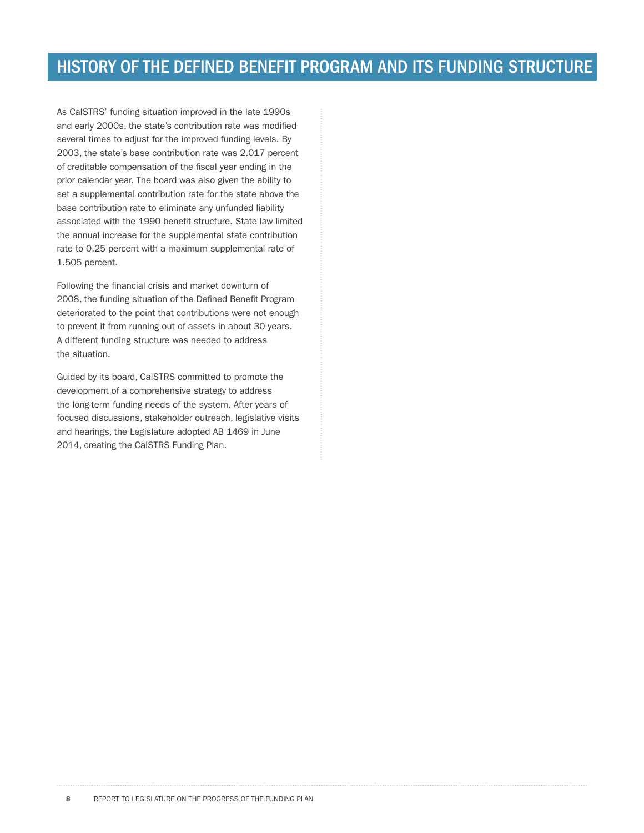As CalSTRS' funding situation improved in the late 1990s and early 2000s, the state's contribution rate was modified several times to adjust for the improved funding levels. By 2003, the state's base contribution rate was 2.017 percent of creditable compensation of the fiscal year ending in the prior calendar year. The board was also given the ability to set a supplemental contribution rate for the state above the base contribution rate to eliminate any unfunded liability associated with the 1990 benefit structure. State law limited the annual increase for the supplemental state contribution rate to 0.25 percent with a maximum supplemental rate of 1.505 percent.

Following the financial crisis and market downturn of 2008, the funding situation of the Defined Benefit Program deteriorated to the point that contributions were not enough to prevent it from running out of assets in about 30 years. A different funding structure was needed to address the situation.

Guided by its board, CalSTRS committed to promote the development of a comprehensive strategy to address the long-term funding needs of the system. After years of focused discussions, stakeholder outreach, legislative visits and hearings, the Legislature adopted AB 1469 in June 2014, creating the CalSTRS Funding Plan.

8 REPORT TO LEGISLATURE ON THE PROGRESS OF THE FUNDING PLAN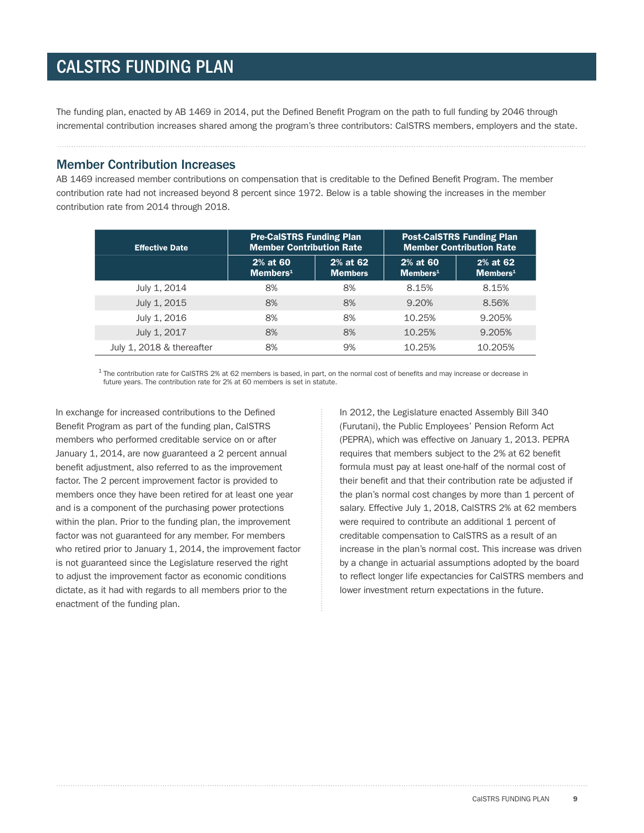#### CALSTRS FUNDING PLAN

The funding plan, enacted by AB 1469 in 2014, put the Defined Benefit Program on the path to full funding by 2046 through incremental contribution increases shared among the program's three contributors: CalSTRS members, employers and the state.

#### Member Contribution Increases

AB 1469 increased member contributions on compensation that is creditable to the Defined Benefit Program. The member contribution rate had not increased beyond 8 percent since 1972. Below is a table showing the increases in the member contribution rate from 2014 through 2018.

| <b>Effective Date</b>     | <b>Pre-CalSTRS Funding Plan</b><br><b>Member Contribution Rate</b> |                            | <b>Post-CalSTRS Funding Plan</b><br><b>Member Contribution Rate</b> |                                     |
|---------------------------|--------------------------------------------------------------------|----------------------------|---------------------------------------------------------------------|-------------------------------------|
|                           | 2% at 60<br>$M$ embers <sup>1</sup>                                | 2% at 62<br><b>Members</b> | 2% at 60<br>$M$ embers <sup>1</sup>                                 | 2% at 62<br>$M$ embers <sup>1</sup> |
| July 1, 2014              | 8%                                                                 | 8%                         | 8.15%                                                               | 8.15%                               |
| July 1, 2015              | 8%                                                                 | 8%                         | 9.20%                                                               | 8.56%                               |
| July 1, 2016              | 8%                                                                 | 8%                         | 10.25%                                                              | 9.205%                              |
| July 1, 2017              | 8%                                                                 | 8%                         | 10.25%                                                              | 9.205%                              |
| July 1, 2018 & thereafter | 8%                                                                 | 9%                         | 10.25%                                                              | 10.205%                             |

 $1$  The contribution rate for CalSTRS 2% at 62 members is based, in part, on the normal cost of benefits and may increase or decrease in future years. The contribution rate for 2% at 60 members is set in statute.

In exchange for increased contributions to the Defined Benefit Program as part of the funding plan, CalSTRS members who performed creditable service on or after January 1, 2014, are now guaranteed a 2 percent annual benefit adjustment, also referred to as the improvement factor. The 2 percent improvement factor is provided to members once they have been retired for at least one year and is a component of the purchasing power protections within the plan. Prior to the funding plan, the improvement factor was not guaranteed for any member. For members who retired prior to January 1, 2014, the improvement factor is not guaranteed since the Legislature reserved the right to adjust the improvement factor as economic conditions dictate, as it had with regards to all members prior to the enactment of the funding plan.

In 2012, the Legislature enacted Assembly Bill 340 (Furutani), the Public Employees' Pension Reform Act (PEPRA), which was effective on January 1, 2013. PEPRA requires that members subject to the 2% at 62 benefit formula must pay at least one-half of the normal cost of their benefit and that their contribution rate be adjusted if the plan's normal cost changes by more than 1 percent of salary. Effective July 1, 2018, CalSTRS 2% at 62 members were required to contribute an additional 1 percent of creditable compensation to CalSTRS as a result of an increase in the plan's normal cost. This increase was driven by a change in actuarial assumptions adopted by the board to reflect longer life expectancies for CalSTRS members and lower investment return expectations in the future.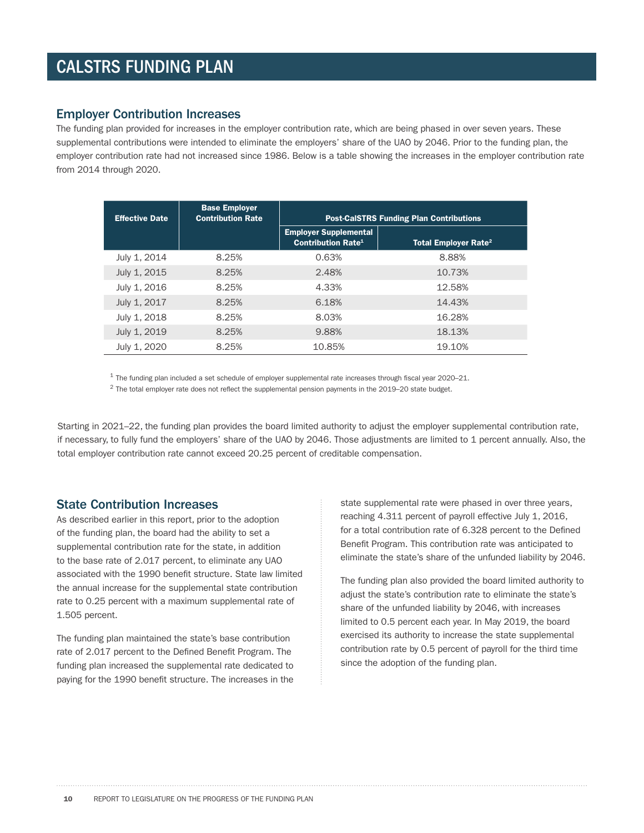### CALSTRS FUNDING PLAN

#### Employer Contribution Increases

The funding plan provided for increases in the employer contribution rate, which are being phased in over seven years. These supplemental contributions were intended to eliminate the employers' share of the UAO by 2046. Prior to the funding plan, the employer contribution rate had not increased since 1986. Below is a table showing the increases in the employer contribution rate from 2014 through 2020.

| <b>Effective Date</b> | <b>Base Employer</b><br><b>Contribution Rate</b> | <b>Post-CalSTRS Funding Plan Contributions</b>                       |                                        |  |
|-----------------------|--------------------------------------------------|----------------------------------------------------------------------|----------------------------------------|--|
|                       |                                                  | <b>Employer Supplemental</b><br><b>Contribution Rate<sup>1</sup></b> | <b>Total Employer Rate<sup>2</sup></b> |  |
| July 1, 2014          | 8.25%                                            | 0.63%                                                                | 8.88%                                  |  |
| July 1, 2015          | 8.25%                                            | 2.48%                                                                | 10.73%                                 |  |
| July 1, 2016          | 8.25%                                            | 4.33%                                                                | 12.58%                                 |  |
| July 1, 2017          | 8.25%                                            | 6.18%                                                                | 14.43%                                 |  |
| July 1, 2018          | 8.25%                                            | 8.03%                                                                | 16.28%                                 |  |
| July 1, 2019          | 8.25%                                            | 9.88%                                                                | 18.13%                                 |  |
| July 1, 2020          | 8.25%                                            | 10.85%                                                               | 19.10%                                 |  |

 $1$  The funding plan included a set schedule of employer supplemental rate increases through fiscal year 2020–21.

 $2$  The total employer rate does not reflect the supplemental pension payments in the 2019–20 state budget.

Starting in 2021–22, the funding plan provides the board limited authority to adjust the employer supplemental contribution rate, if necessary, to fully fund the employers' share of the UAO by 2046. Those adjustments are limited to 1 percent annually. Also, the total employer contribution rate cannot exceed 20.25 percent of creditable compensation.

#### State Contribution Increases

As described earlier in this report, prior to the adoption of the funding plan, the board had the ability to set a supplemental contribution rate for the state, in addition to the base rate of 2.017 percent, to eliminate any UAO associated with the 1990 benefit structure. State law limited the annual increase for the supplemental state contribution rate to 0.25 percent with a maximum supplemental rate of 1.505 percent.

The funding plan maintained the state's base contribution rate of 2.017 percent to the Defined Benefit Program. The funding plan increased the supplemental rate dedicated to paying for the 1990 benefit structure. The increases in the

state supplemental rate were phased in over three years, reaching 4.311 percent of payroll effective July 1, 2016, for a total contribution rate of 6.328 percent to the Defined Benefit Program. This contribution rate was anticipated to eliminate the state's share of the unfunded liability by 2046.

The funding plan also provided the board limited authority to adjust the state's contribution rate to eliminate the state's share of the unfunded liability by 2046, with increases limited to 0.5 percent each year. In May 2019, the board exercised its authority to increase the state supplemental contribution rate by 0.5 percent of payroll for the third time since the adoption of the funding plan.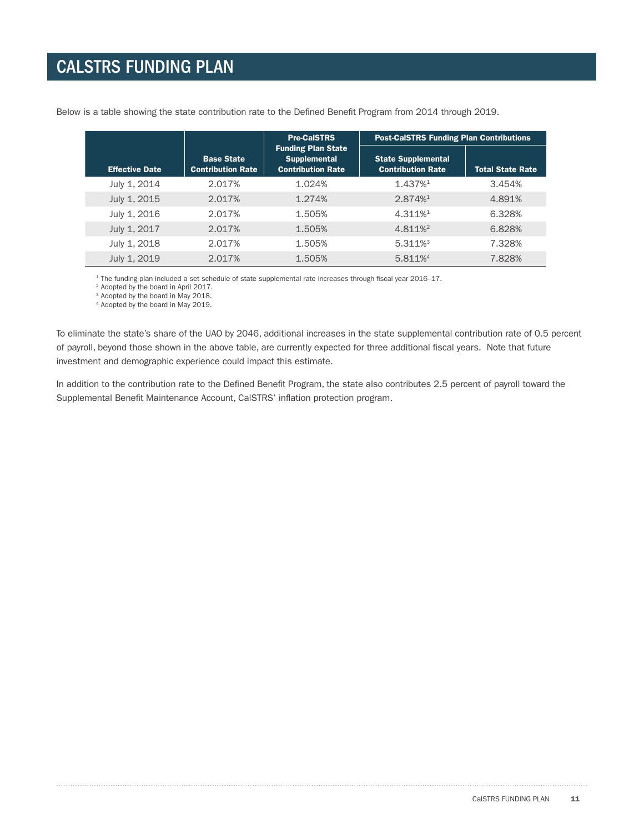|                       |                                               | <b>Pre-CalSTRS</b>                                                           | <b>Post-CalSTRS Funding Plan Contributions</b>        |                         |  |
|-----------------------|-----------------------------------------------|------------------------------------------------------------------------------|-------------------------------------------------------|-------------------------|--|
| <b>Effective Date</b> | <b>Base State</b><br><b>Contribution Rate</b> | <b>Funding Plan State</b><br><b>Supplemental</b><br><b>Contribution Rate</b> | <b>State Supplemental</b><br><b>Contribution Rate</b> | <b>Total State Rate</b> |  |
| July 1, 2014          | 2.017%                                        | 1.024%                                                                       | 1.437%                                                | 3.454%                  |  |
| July 1, 2015          | 2.017%                                        | 1.274%                                                                       | 2.874%                                                | 4.891%                  |  |
| July 1, 2016          | 2.017%                                        | 1.505%                                                                       | 4.311%                                                | 6.328%                  |  |
| July 1, 2017          | 2.017%                                        | 1.505%                                                                       | 4.811%                                                | 6.828%                  |  |
| July 1, 2018          | 2.017%                                        | 1.505%                                                                       | 5.311% <sup>3</sup>                                   | 7.328%                  |  |
| July 1, 2019          | 2.017%                                        | 1.505%                                                                       | 5.811%4                                               | 7.828%                  |  |

Below is a table showing the state contribution rate to the Defined Benefit Program from 2014 through 2019.

1 The funding plan included a set schedule of state supplemental rate increases through fiscal year 2016–17.

<sup>2</sup> Adopted by the board in April 2017.

<sup>3</sup> Adopted by the board in May 2018.

4 Adopted by the board in May 2019.

To eliminate the state's share of the UAO by 2046, additional increases in the state supplemental contribution rate of 0.5 percent of payroll, beyond those shown in the above table, are currently expected for three additional fiscal years. Note that future investment and demographic experience could impact this estimate.

In addition to the contribution rate to the Defined Benefit Program, the state also contributes 2.5 percent of payroll toward the Supplemental Benefit Maintenance Account, CalSTRS' inflation protection program.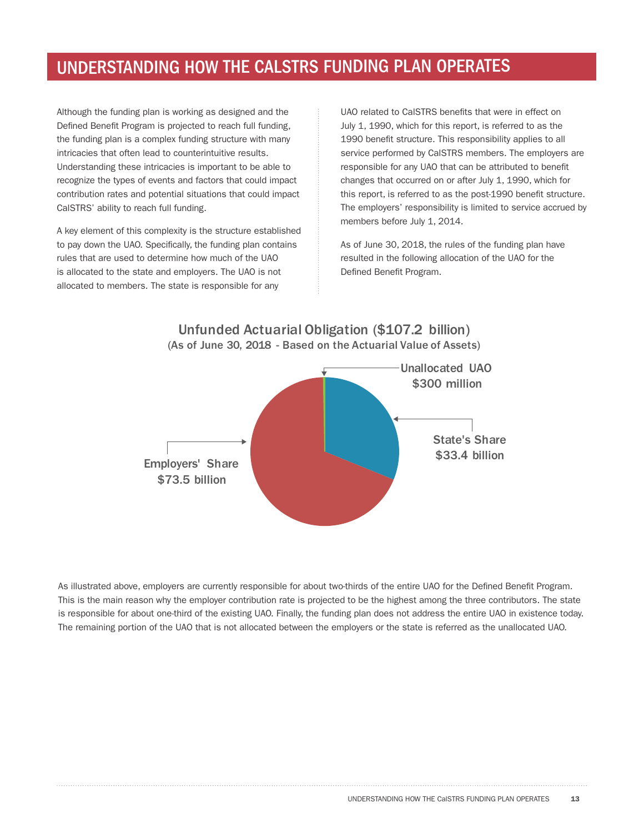Although the funding plan is working as designed and the Defined Benefit Program is projected to reach full funding, the funding plan is a complex funding structure with many intricacies that often lead to counterintuitive results. Understanding these intricacies is important to be able to recognize the types of events and factors that could impact contribution rates and potential situations that could impact CalSTRS' ability to reach full funding.

A key element of this complexity is the structure established to pay down the UAO. Specifically, the funding plan contains rules that are used to determine how much of the UAO is allocated to the state and employers. The UAO is not allocated to members. The state is responsible for any

UAO related to CalSTRS benefits that were in effect on July 1, 1990, which for this report, is referred to as the 1990 benefit structure. This responsibility applies to all service performed by CalSTRS members. The employers are responsible for any UAO that can be attributed to benefit changes that occurred on or after July 1, 1990, which for this report, is referred to as the post-1990 benefit structure. The employers' responsibility is limited to service accrued by members before July 1, 2014.

As of June 30, 2018, the rules of the funding plan have resulted in the following allocation of the UAO for the Defined Benefit Program.



As illustrated above, employers are currently responsible for about two-thirds of the entire UAO for the Defined Benefit Program. This is the main reason why the employer contribution rate is projected to be the highest among the three contributors. The state is responsible for about one-third of the existing UAO. Finally, the funding plan does not address the entire UAO in existence today. The remaining portion of the UAO that is not allocated between the employers or the state is referred as the unallocated UAO.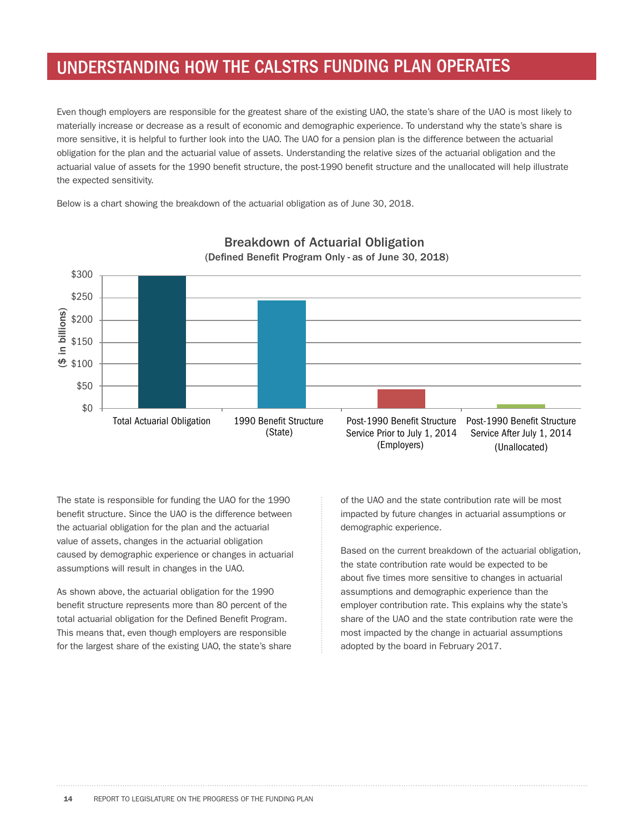Even though employers are responsible for the greatest share of the existing UAO, the state's share of the UAO is most likely to materially increase or decrease as a result of economic and demographic experience. To understand why the state's share is more sensitive, it is helpful to further look into the UAO. The UAO for a pension plan is the difference between the actuarial obligation for the plan and the actuarial value of assets. Understanding the relative sizes of the actuarial obligation and the actuarial value of assets for the 1990 benefit structure, the post-1990 benefit structure and the unallocated will help illustrate the expected sensitivity.

Below is a chart showing the breakdown of the actuarial obligation as of June 30, 2018.



#### **Breakdown of Actuarial Obligation** (Defined Benefit Program Only - as of June 30, 2018)

The state is responsible for funding the UAO for the 1990 benefit structure. Since the UAO is the difference between the actuarial obligation for the plan and the actuarial value of assets, changes in the actuarial obligation caused by demographic experience or changes in actuarial assumptions will result in changes in the UAO.

As shown above, the actuarial obligation for the 1990 benefit structure represents more than 80 percent of the total actuarial obligation for the Defined Benefit Program. This means that, even though employers are responsible for the largest share of the existing UAO, the state's share of the UAO and the state contribution rate will be most impacted by future changes in actuarial assumptions or demographic experience.

Based on the current breakdown of the actuarial obligation, the state contribution rate would be expected to be about five times more sensitive to changes in actuarial assumptions and demographic experience than the employer contribution rate. This explains why the state's share of the UAO and the state contribution rate were the most impacted by the change in actuarial assumptions adopted by the board in February 2017.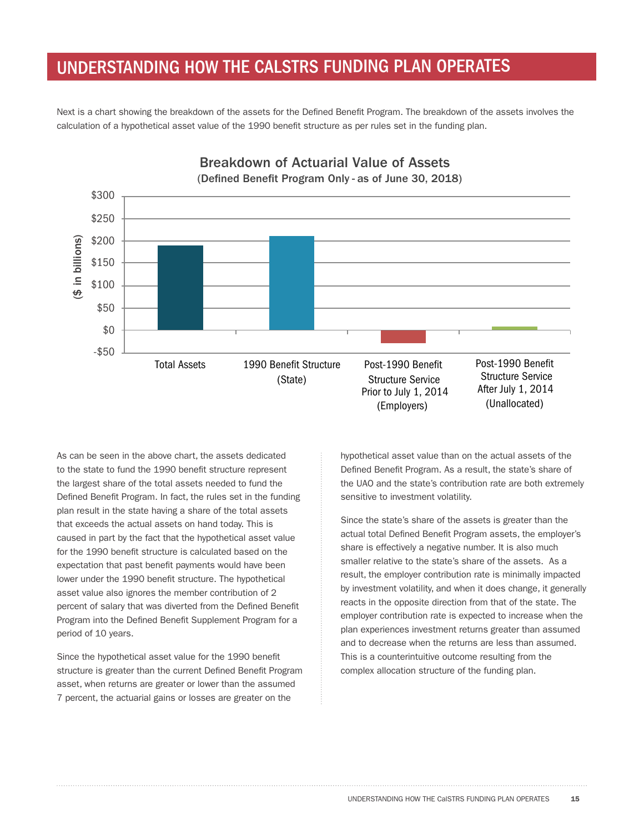Next is a chart showing the breakdown of the assets for the Defined Benefit Program. The breakdown of the assets involves the calculation of a hypothetical asset value of the 1990 benefit structure as per rules set in the funding plan.



As can be seen in the above chart, the assets dedicated to the state to fund the 1990 benefit structure represent the largest share of the total assets needed to fund the Defined Benefit Program. In fact, the rules set in the funding plan result in the state having a share of the total assets that exceeds the actual assets on hand today. This is caused in part by the fact that the hypothetical asset value for the 1990 benefit structure is calculated based on the expectation that past benefit payments would have been lower under the 1990 benefit structure. The hypothetical asset value also ignores the member contribution of 2 percent of salary that was diverted from the Defined Benefit Program into the Defined Benefit Supplement Program for a period of 10 years.

Since the hypothetical asset value for the 1990 benefit structure is greater than the current Defined Benefit Program asset, when returns are greater or lower than the assumed 7 percent, the actuarial gains or losses are greater on the

hypothetical asset value than on the actual assets of the Defined Benefit Program. As a result, the state's share of the UAO and the state's contribution rate are both extremely sensitive to investment volatility.

Since the state's share of the assets is greater than the actual total Defined Benefit Program assets, the employer's share is effectively a negative number. It is also much smaller relative to the state's share of the assets. As a result, the employer contribution rate is minimally impacted by investment volatility, and when it does change, it generally reacts in the opposite direction from that of the state. The employer contribution rate is expected to increase when the plan experiences investment returns greater than assumed and to decrease when the returns are less than assumed. This is a counterintuitive outcome resulting from the complex allocation structure of the funding plan.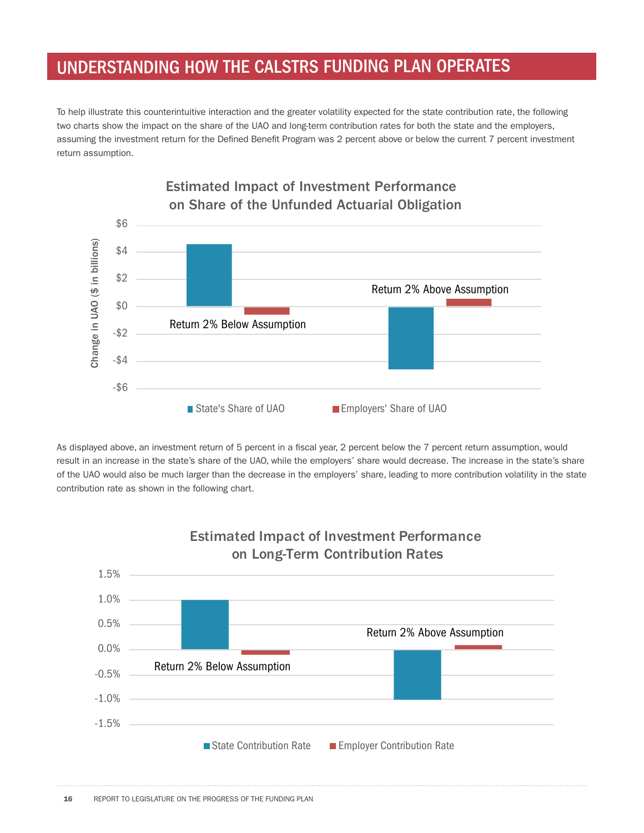To help illustrate this counterintuitive interaction and the greater volatility expected for the state contribution rate, the following two charts show the impact on the share of the UAO and long-term contribution rates for both the state and the employers, assuming the investment return for the Defined Benefit Program was 2 percent above or below the current 7 percent investment return assumption.



As displayed above, an investment return of 5 percent in a fiscal year, 2 percent below the 7 percent return assumption, would result in an increase in the state's share of the UAO, while the employers' share would decrease. The increase in the state's share of the UAO would also be much larger than the decrease in the employers' share, leading to more contribution volatility in the state contribution rate as shown in the following chart.



# **Estimated Impact of Investment Performance**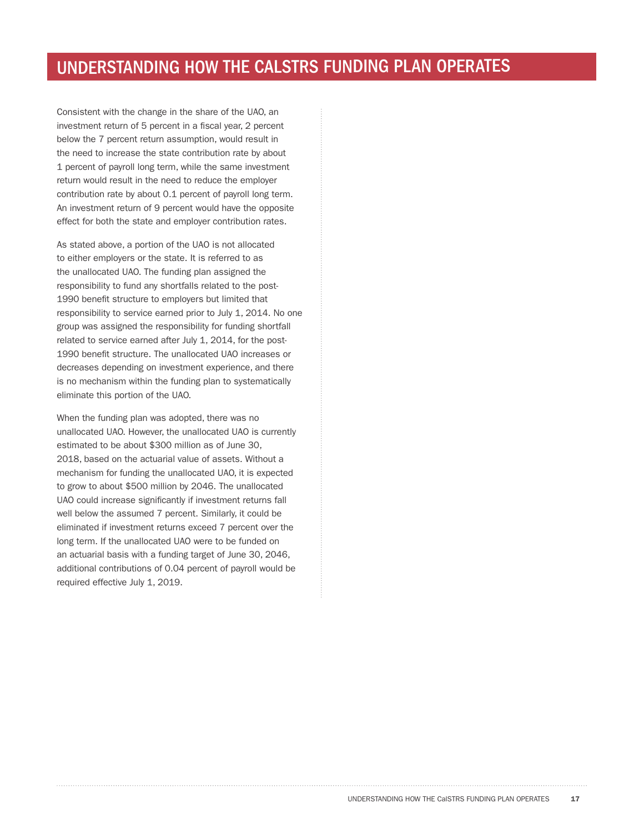Consistent with the change in the share of the UAO, an investment return of 5 percent in a fiscal year, 2 percent below the 7 percent return assumption, would result in the need to increase the state contribution rate by about 1 percent of payroll long term, while the same investment return would result in the need to reduce the employer contribution rate by about 0.1 percent of payroll long term. An investment return of 9 percent would have the opposite effect for both the state and employer contribution rates.

As stated above, a portion of the UAO is not allocated to either employers or the state. It is referred to as the unallocated UAO. The funding plan assigned the responsibility to fund any shortfalls related to the post-1990 benefit structure to employers but limited that responsibility to service earned prior to July 1, 2014. No one group was assigned the responsibility for funding shortfall related to service earned after July 1, 2014, for the post-1990 benefit structure. The unallocated UAO increases or decreases depending on investment experience, and there is no mechanism within the funding plan to systematically eliminate this portion of the UAO.

When the funding plan was adopted, there was no unallocated UAO. However, the unallocated UAO is currently estimated to be about \$300 million as of June 30, 2018, based on the actuarial value of assets. Without a mechanism for funding the unallocated UAO, it is expected to grow to about \$500 million by 2046. The unallocated UAO could increase significantly if investment returns fall well below the assumed 7 percent. Similarly, it could be eliminated if investment returns exceed 7 percent over the long term. If the unallocated UAO were to be funded on an actuarial basis with a funding target of June 30, 2046, additional contributions of 0.04 percent of payroll would be required effective July 1, 2019.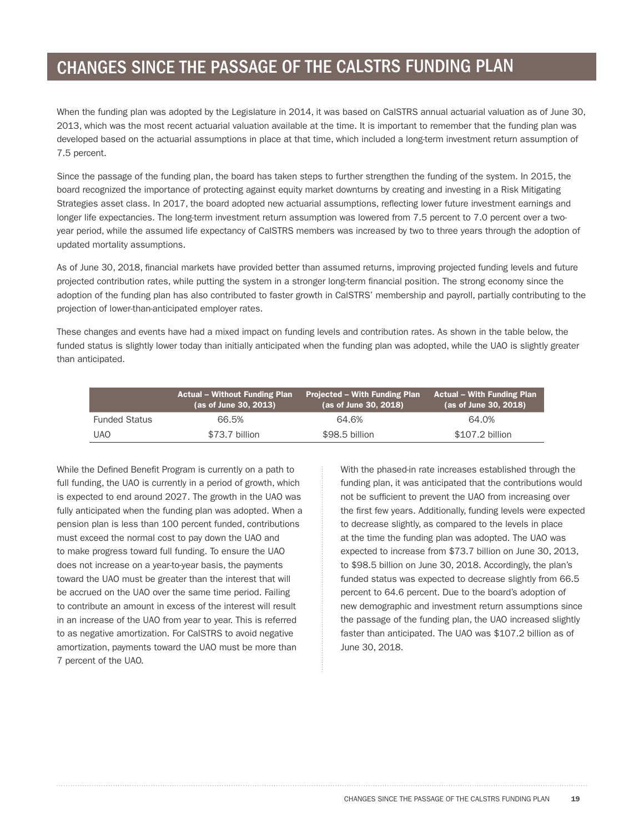#### CHANGES SINCE THE PASSAGE OF THE CALSTRS FUNDING PLAN

When the funding plan was adopted by the Legislature in 2014, it was based on CalSTRS annual actuarial valuation as of June 30, 2013, which was the most recent actuarial valuation available at the time. It is important to remember that the funding plan was developed based on the actuarial assumptions in place at that time, which included a long-term investment return assumption of 7.5 percent.

Since the passage of the funding plan, the board has taken steps to further strengthen the funding of the system. In 2015, the board recognized the importance of protecting against equity market downturns by creating and investing in a Risk Mitigating Strategies asset class. In 2017, the board adopted new actuarial assumptions, reflecting lower future investment earnings and longer life expectancies. The long-term investment return assumption was lowered from 7.5 percent to 7.0 percent over a twoyear period, while the assumed life expectancy of CalSTRS members was increased by two to three years through the adoption of updated mortality assumptions.

As of June 30, 2018, financial markets have provided better than assumed returns, improving projected funding levels and future projected contribution rates, while putting the system in a stronger long-term financial position. The strong economy since the adoption of the funding plan has also contributed to faster growth in CalSTRS' membership and payroll, partially contributing to the projection of lower-than-anticipated employer rates.

These changes and events have had a mixed impact on funding levels and contribution rates. As shown in the table below, the funded status is slightly lower today than initially anticipated when the funding plan was adopted, while the UAO is slightly greater than anticipated.

|                      | <b>Actual – Without Funding Plan</b><br>(as of June 30, 2013) | Projected – With Funding Plan<br>(as of June 30, 2018) | <b>Actual – With Funding Plan</b><br>(as of June 30, 2018) |
|----------------------|---------------------------------------------------------------|--------------------------------------------------------|------------------------------------------------------------|
| <b>Funded Status</b> | 66.5%                                                         | 64.6%                                                  | 64.0%                                                      |
| <b>UAO</b>           | \$73.7 billion                                                | \$98.5 billion                                         | \$107.2 billion                                            |

While the Defined Benefit Program is currently on a path to full funding, the UAO is currently in a period of growth, which is expected to end around 2027. The growth in the UAO was fully anticipated when the funding plan was adopted. When a pension plan is less than 100 percent funded, contributions must exceed the normal cost to pay down the UAO and to make progress toward full funding. To ensure the UAO does not increase on a year-to-year basis, the payments toward the UAO must be greater than the interest that will be accrued on the UAO over the same time period. Failing to contribute an amount in excess of the interest will result in an increase of the UAO from year to year. This is referred to as negative amortization. For CalSTRS to avoid negative amortization, payments toward the UAO must be more than 7 percent of the UAO.

With the phased-in rate increases established through the funding plan, it was anticipated that the contributions would not be sufficient to prevent the UAO from increasing over the first few years. Additionally, funding levels were expected to decrease slightly, as compared to the levels in place at the time the funding plan was adopted. The UAO was expected to increase from \$73.7 billion on June 30, 2013, to \$98.5 billion on June 30, 2018. Accordingly, the plan's funded status was expected to decrease slightly from 66.5 percent to 64.6 percent. Due to the board's adoption of new demographic and investment return assumptions since the passage of the funding plan, the UAO increased slightly faster than anticipated. The UAO was \$107.2 billion as of June 30, 2018.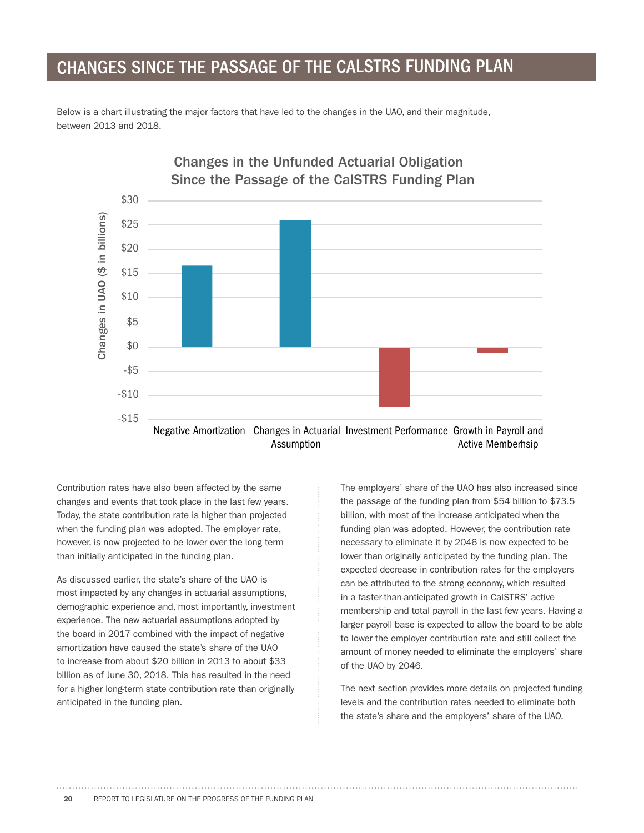# CHANGES SINCE THE PASSAGE OF THE CALSTRS FUNDING PLAN

Below is a chart illustrating the major factors that have led to the changes in the UAO, and their magnitude, between 2013 and 2018.



# **Changes in the Unfunded Actuarial Obligation**

Contribution rates have also been affected by the same changes and events that took place in the last few years. Today, the state contribution rate is higher than projected when the funding plan was adopted. The employer rate, however, is now projected to be lower over the long term than initially anticipated in the funding plan.

As discussed earlier, the state's share of the UAO is most impacted by any changes in actuarial assumptions, demographic experience and, most importantly, investment experience. The new actuarial assumptions adopted by the board in 2017 combined with the impact of negative amortization have caused the state's share of the UAO to increase from about \$20 billion in 2013 to about \$33 billion as of June 30, 2018. This has resulted in the need for a higher long-term state contribution rate than originally anticipated in the funding plan.

The employers' share of the UAO has also increased since the passage of the funding plan from \$54 billion to \$73.5 billion, with most of the increase anticipated when the funding plan was adopted. However, the contribution rate necessary to eliminate it by 2046 is now expected to be lower than originally anticipated by the funding plan. The expected decrease in contribution rates for the employers can be attributed to the strong economy, which resulted in a faster-than-anticipated growth in CalSTRS' active membership and total payroll in the last few years. Having a larger payroll base is expected to allow the board to be able to lower the employer contribution rate and still collect the amount of money needed to eliminate the employers' share of the UAO by 2046.

The next section provides more details on projected funding levels and the contribution rates needed to eliminate both the state's share and the employers' share of the UAO.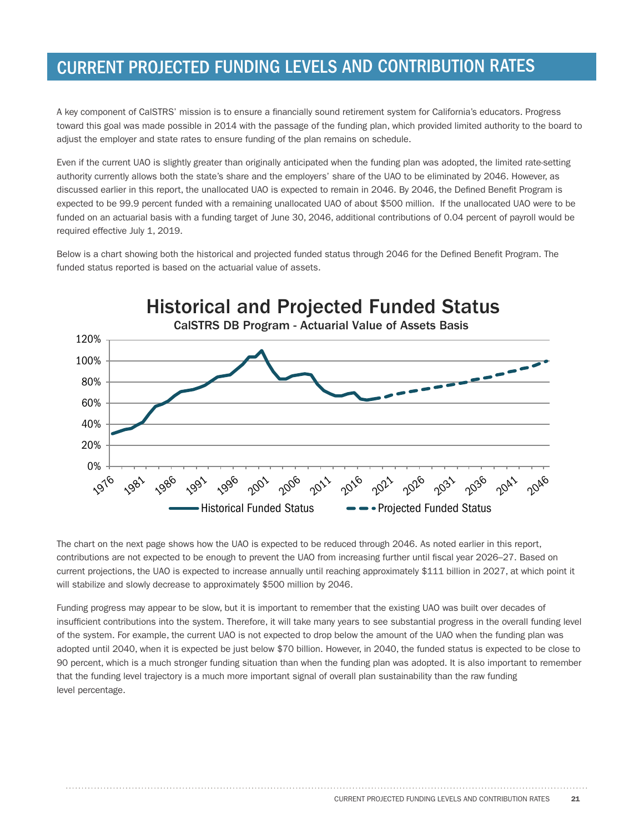# CURRENT PROJECTED FUNDING LEVELS AND CONTRIBUTION RATES

A key component of CalSTRS' mission is to ensure a financially sound retirement system for California's educators. Progress toward this goal was made possible in 2014 with the passage of the funding plan, which provided limited authority to the board to adjust the employer and state rates to ensure funding of the plan remains on schedule.

Even if the current UAO is slightly greater than originally anticipated when the funding plan was adopted, the limited rate-setting authority currently allows both the state's share and the employers' share of the UAO to be eliminated by 2046. However, as discussed earlier in this report, the unallocated UAO is expected to remain in 2046. By 2046, the Defined Benefit Program is expected to be 99.9 percent funded with a remaining unallocated UAO of about \$500 million. If the unallocated UAO were to be funded on an actuarial basis with a funding target of June 30, 2046, additional contributions of 0.04 percent of payroll would be required effective July 1, 2019.

Below is a chart showing both the historical and projected funded status through 2046 for the Defined Benefit Program. The funded status reported is based on the actuarial value of assets.



The chart on the next page shows how the UAO is expected to be reduced through 2046. As noted earlier in this report, contributions are not expected to be enough to prevent the UAO from increasing further until fiscal year 2026–27. Based on current projections, the UAO is expected to increase annually until reaching approximately \$111 billion in 2027, at which point it will stabilize and slowly decrease to approximately \$500 million by 2046.

Funding progress may appear to be slow, but it is important to remember that the existing UAO was built over decades of insufficient contributions into the system. Therefore, it will take many years to see substantial progress in the overall funding level of the system. For example, the current UAO is not expected to drop below the amount of the UAO when the funding plan was adopted until 2040, when it is expected be just below \$70 billion. However, in 2040, the funded status is expected to be close to 90 percent, which is a much stronger funding situation than when the funding plan was adopted. It is also important to remember that the funding level trajectory is a much more important signal of overall plan sustainability than the raw funding level percentage.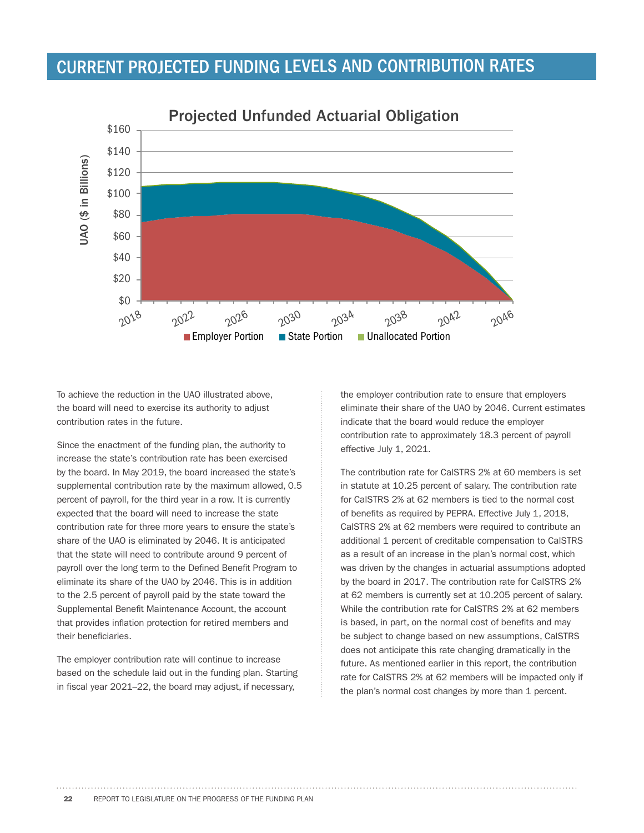# CURRENT PROJECTED FUNDING LEVELS AND CONTRIBUTION RATES



To achieve the reduction in the UAO illustrated above, the board will need to exercise its authority to adjust contribution rates in the future.

Since the enactment of the funding plan, the authority to increase the state's contribution rate has been exercised by the board. In May 2019, the board increased the state's supplemental contribution rate by the maximum allowed, 0.5 percent of payroll, for the third year in a row. It is currently expected that the board will need to increase the state contribution rate for three more years to ensure the state's share of the UAO is eliminated by 2046. It is anticipated that the state will need to contribute around 9 percent of payroll over the long term to the Defined Benefit Program to eliminate its share of the UAO by 2046. This is in addition to the 2.5 percent of payroll paid by the state toward the Supplemental Benefit Maintenance Account, the account that provides inflation protection for retired members and their beneficiaries.

The employer contribution rate will continue to increase based on the schedule laid out in the funding plan. Starting in fiscal year 2021–22, the board may adjust, if necessary,

the employer contribution rate to ensure that employers eliminate their share of the UAO by 2046. Current estimates indicate that the board would reduce the employer contribution rate to approximately 18.3 percent of payroll effective July 1, 2021.

The contribution rate for CalSTRS 2% at 60 members is set in statute at 10.25 percent of salary. The contribution rate for CalSTRS 2% at 62 members is tied to the normal cost of benefits as required by PEPRA. Effective July 1, 2018, CalSTRS 2% at 62 members were required to contribute an additional 1 percent of creditable compensation to CalSTRS as a result of an increase in the plan's normal cost, which was driven by the changes in actuarial assumptions adopted by the board in 2017. The contribution rate for CalSTRS 2% at 62 members is currently set at 10.205 percent of salary. While the contribution rate for CalSTRS 2% at 62 members is based, in part, on the normal cost of benefits and may be subject to change based on new assumptions, CalSTRS does not anticipate this rate changing dramatically in the future. As mentioned earlier in this report, the contribution rate for CalSTRS 2% at 62 members will be impacted only if the plan's normal cost changes by more than 1 percent.

22 REPORT TO LEGISLATURE ON THE PROGRESS OF THE FUNDING PLAN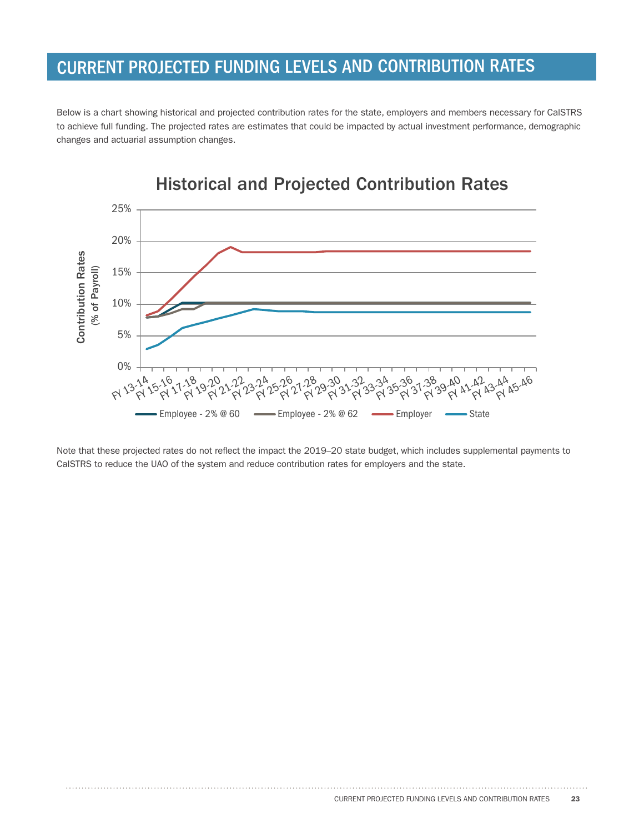# CURRENT PROJECTED FUNDING LEVELS AND CONTRIBUTION RATES

Below is a chart showing historical and projected contribution rates for the state, employers and members necessary for CalSTRS to achieve full funding. The projected rates are estimates that could be impacted by actual investment performance, demographic changes and actuarial assumption changes.



Note that these projected rates do not reflect the impact the 2019–20 state budget, which includes supplemental payments to CalSTRS to reduce the UAO of the system and reduce contribution rates for employers and the state.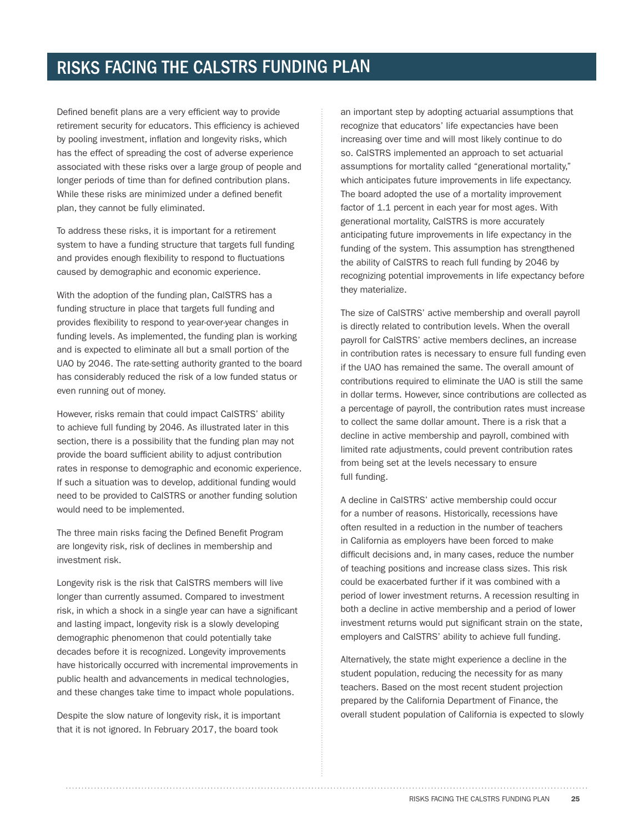Defined benefit plans are a very efficient way to provide retirement security for educators. This efficiency is achieved by pooling investment, inflation and longevity risks, which has the effect of spreading the cost of adverse experience associated with these risks over a large group of people and longer periods of time than for defined contribution plans. While these risks are minimized under a defined benefit plan, they cannot be fully eliminated.

To address these risks, it is important for a retirement system to have a funding structure that targets full funding and provides enough flexibility to respond to fluctuations caused by demographic and economic experience.

With the adoption of the funding plan, CalSTRS has a funding structure in place that targets full funding and provides flexibility to respond to year-over-year changes in funding levels. As implemented, the funding plan is working and is expected to eliminate all but a small portion of the UAO by 2046. The rate-setting authority granted to the board has considerably reduced the risk of a low funded status or even running out of money.

However, risks remain that could impact CalSTRS' ability to achieve full funding by 2046. As illustrated later in this section, there is a possibility that the funding plan may not provide the board sufficient ability to adjust contribution rates in response to demographic and economic experience. If such a situation was to develop, additional funding would need to be provided to CalSTRS or another funding solution would need to be implemented.

The three main risks facing the Defined Benefit Program are longevity risk, risk of declines in membership and investment risk.

Longevity risk is the risk that CalSTRS members will live longer than currently assumed. Compared to investment risk, in which a shock in a single year can have a significant and lasting impact, longevity risk is a slowly developing demographic phenomenon that could potentially take decades before it is recognized. Longevity improvements have historically occurred with incremental improvements in public health and advancements in medical technologies, and these changes take time to impact whole populations.

Despite the slow nature of longevity risk, it is important that it is not ignored. In February 2017, the board took

an important step by adopting actuarial assumptions that recognize that educators' life expectancies have been increasing over time and will most likely continue to do so. CalSTRS implemented an approach to set actuarial assumptions for mortality called "generational mortality," which anticipates future improvements in life expectancy. The board adopted the use of a mortality improvement factor of 1.1 percent in each year for most ages. With generational mortality, CalSTRS is more accurately anticipating future improvements in life expectancy in the funding of the system. This assumption has strengthened the ability of CalSTRS to reach full funding by 2046 by recognizing potential improvements in life expectancy before they materialize.

The size of CalSTRS' active membership and overall payroll is directly related to contribution levels. When the overall payroll for CalSTRS' active members declines, an increase in contribution rates is necessary to ensure full funding even if the UAO has remained the same. The overall amount of contributions required to eliminate the UAO is still the same in dollar terms. However, since contributions are collected as a percentage of payroll, the contribution rates must increase to collect the same dollar amount. There is a risk that a decline in active membership and payroll, combined with limited rate adjustments, could prevent contribution rates from being set at the levels necessary to ensure full funding.

A decline in CalSTRS' active membership could occur for a number of reasons. Historically, recessions have often resulted in a reduction in the number of teachers in California as employers have been forced to make difficult decisions and, in many cases, reduce the number of teaching positions and increase class sizes. This risk could be exacerbated further if it was combined with a period of lower investment returns. A recession resulting in both a decline in active membership and a period of lower investment returns would put significant strain on the state, employers and CalSTRS' ability to achieve full funding.

Alternatively, the state might experience a decline in the student population, reducing the necessity for as many teachers. Based on the most recent student projection prepared by the California Department of Finance, the overall student population of California is expected to slowly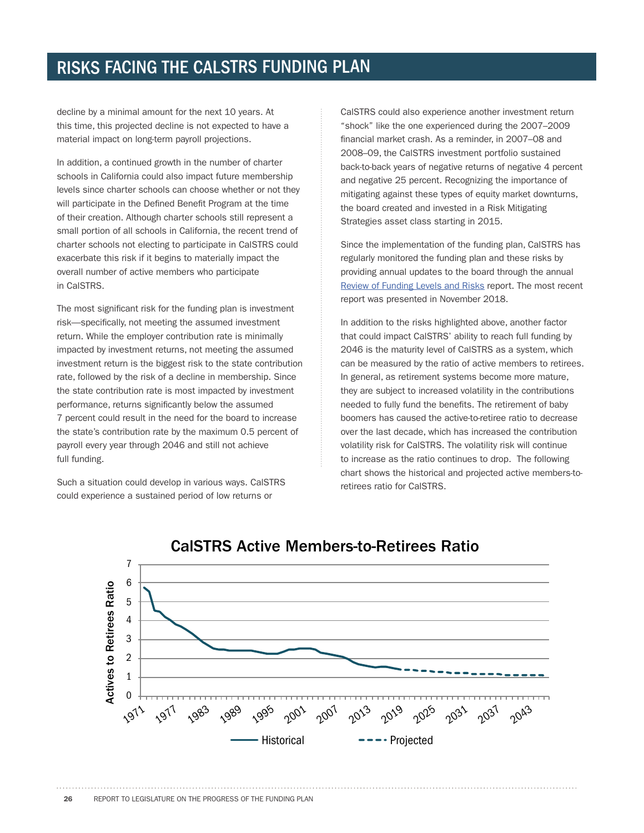decline by a minimal amount for the next 10 years. At this time, this projected decline is not expected to have a material impact on long-term payroll projections.

In addition, a continued growth in the number of charter schools in California could also impact future membership levels since charter schools can choose whether or not they will participate in the Defined Benefit Program at the time of their creation. Although charter schools still represent a small portion of all schools in California, the recent trend of charter schools not electing to participate in CalSTRS could exacerbate this risk if it begins to materially impact the overall number of active members who participate in CalSTRS.

The most significant risk for the funding plan is investment risk—specifically, not meeting the assumed investment return. While the employer contribution rate is minimally impacted by investment returns, not meeting the assumed investment return is the biggest risk to the state contribution rate, followed by the risk of a decline in membership. Since the state contribution rate is most impacted by investment performance, returns significantly below the assumed 7 percent could result in the need for the board to increase the state's contribution rate by the maximum 0.5 percent of payroll every year through 2046 and still not achieve full funding.

Such a situation could develop in various ways. CalSTRS could experience a sustained period of low returns or

CalSTRS could also experience another investment return "shock" like the one experienced during the 2007–2009 financial market crash. As a reminder, in 2007–08 and 2008–09, the CalSTRS investment portfolio sustained back-to-back years of negative returns of negative 4 percent and negative 25 percent. Recognizing the importance of mitigating against these types of equity market downturns, the board created and invested in a Risk Mitigating Strategies asset class starting in 2015.

Since the implementation of the funding plan, CalSTRS has regularly monitored the funding plan and these risks by providing annual updates to the board through the annual Review of Funding Levels and Risks report. The most recent report was presented in November 2018.

In addition to the risks highlighted above, another factor that could impact CalSTRS' ability to reach full funding by 2046 is the maturity level of CalSTRS as a system, which can be measured by the ratio of active members to retirees. In general, as retirement systems become more mature, they are subject to increased volatility in the contributions needed to fully fund the benefits. The retirement of baby boomers has caused the active-to-retiree ratio to decrease over the last decade, which has increased the contribution volatility risk for CalSTRS. The volatility risk will continue to increase as the ratio continues to drop. The following chart shows the historical and projected active members-toretirees ratio for CalSTRS.



#### **CalSTRS Active Members-to-Retirees Ratio**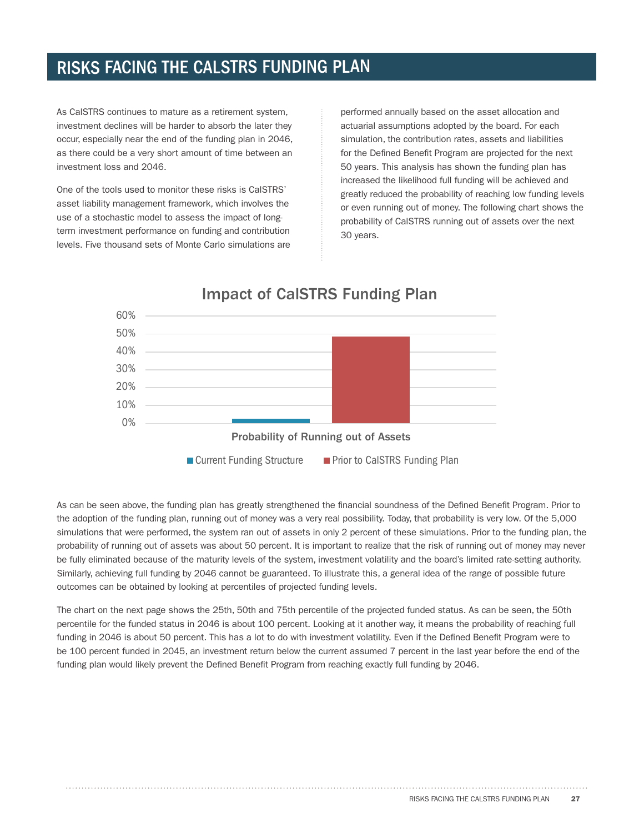As CalSTRS continues to mature as a retirement system, investment declines will be harder to absorb the later they occur, especially near the end of the funding plan in 2046, as there could be a very short amount of time between an investment loss and 2046.

One of the tools used to monitor these risks is CalSTRS' asset liability management framework, which involves the use of a stochastic model to assess the impact of longterm investment performance on funding and contribution levels. Five thousand sets of Monte Carlo simulations are performed annually based on the asset allocation and actuarial assumptions adopted by the board. For each simulation, the contribution rates, assets and liabilities for the Defined Benefit Program are projected for the next 50 years. This analysis has shown the funding plan has increased the likelihood full funding will be achieved and greatly reduced the probability of reaching low funding levels or even running out of money. The following chart shows the probability of CalSTRS running out of assets over the next 30 years.



As can be seen above, the funding plan has greatly strengthened the financial soundness of the Defined Benefit Program. Prior to the adoption of the funding plan, running out of money was a very real possibility. Today, that probability is very low. Of the 5,000 simulations that were performed, the system ran out of assets in only 2 percent of these simulations. Prior to the funding plan, the probability of running out of assets was about 50 percent. It is important to realize that the risk of running out of money may never be fully eliminated because of the maturity levels of the system, investment volatility and the board's limited rate-setting authority. Similarly, achieving full funding by 2046 cannot be guaranteed. To illustrate this, a general idea of the range of possible future outcomes can be obtained by looking at percentiles of projected funding levels.

The chart on the next page shows the 25th, 50th and 75th percentile of the projected funded status. As can be seen, the 50th percentile for the funded status in 2046 is about 100 percent. Looking at it another way, it means the probability of reaching full funding in 2046 is about 50 percent. This has a lot to do with investment volatility. Even if the Defined Benefit Program were to be 100 percent funded in 2045, an investment return below the current assumed 7 percent in the last year before the end of the funding plan would likely prevent the Defined Benefit Program from reaching exactly full funding by 2046.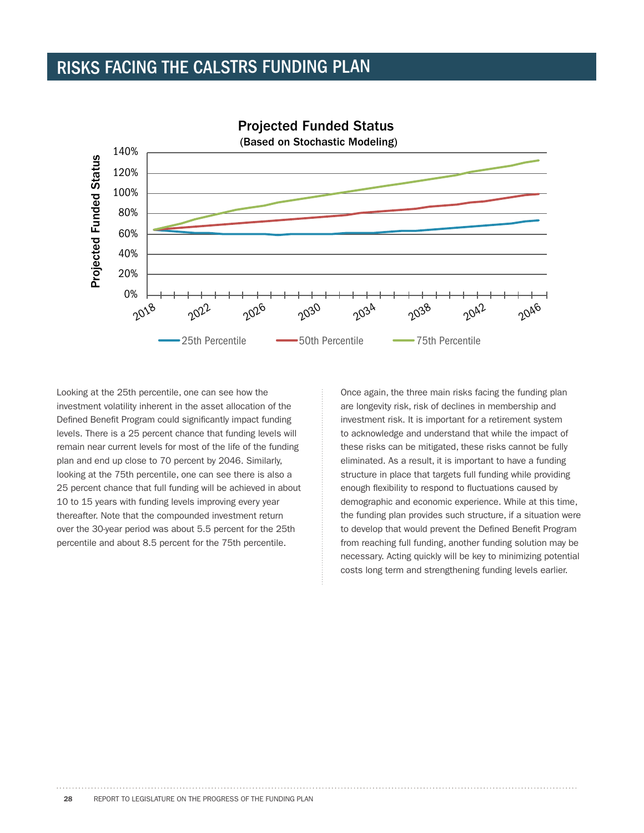

Looking at the 25th percentile, one can see how the investment volatility inherent in the asset allocation of the Defined Benefit Program could significantly impact funding levels. There is a 25 percent chance that funding levels will remain near current levels for most of the life of the funding plan and end up close to 70 percent by 2046. Similarly, looking at the 75th percentile, one can see there is also a 25 percent chance that full funding will be achieved in about 10 to 15 years with funding levels improving every year thereafter. Note that the compounded investment return over the 30-year period was about 5.5 percent for the 25th percentile and about 8.5 percent for the 75th percentile.

Once again, the three main risks facing the funding plan are longevity risk, risk of declines in membership and investment risk. It is important for a retirement system to acknowledge and understand that while the impact of these risks can be mitigated, these risks cannot be fully eliminated. As a result, it is important to have a funding structure in place that targets full funding while providing enough flexibility to respond to fluctuations caused by demographic and economic experience. While at this time, the funding plan provides such structure, if a situation were to develop that would prevent the Defined Benefit Program from reaching full funding, another funding solution may be necessary. Acting quickly will be key to minimizing potential costs long term and strengthening funding levels earlier.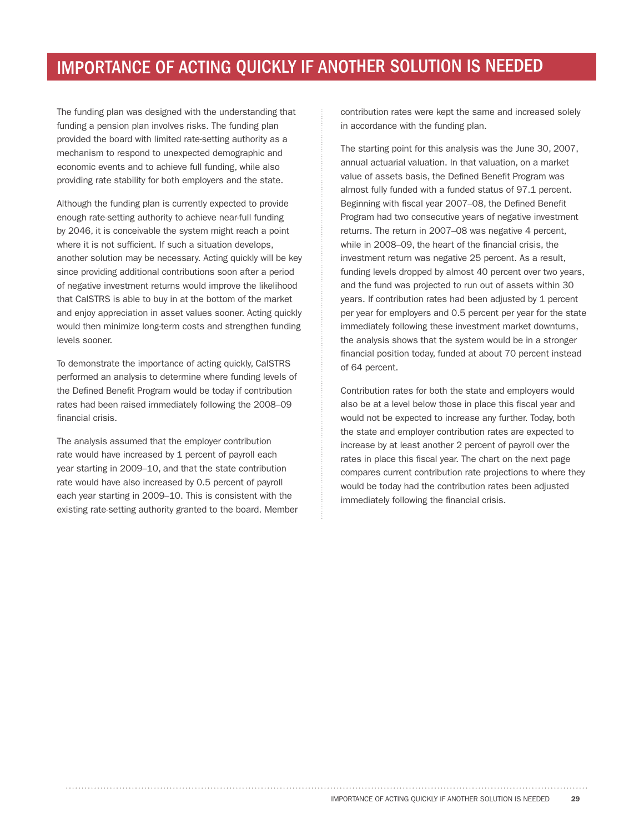#### IMPORTANCE OF ACTING QUICKLY IF ANOTHER SOLUTION IS NEEDED

The funding plan was designed with the understanding that funding a pension plan involves risks. The funding plan provided the board with limited rate-setting authority as a mechanism to respond to unexpected demographic and economic events and to achieve full funding, while also providing rate stability for both employers and the state.

Although the funding plan is currently expected to provide enough rate-setting authority to achieve near-full funding by 2046, it is conceivable the system might reach a point where it is not sufficient. If such a situation develops, another solution may be necessary. Acting quickly will be key since providing additional contributions soon after a period of negative investment returns would improve the likelihood that CalSTRS is able to buy in at the bottom of the market and enjoy appreciation in asset values sooner. Acting quickly would then minimize long-term costs and strengthen funding levels sooner.

To demonstrate the importance of acting quickly, CalSTRS performed an analysis to determine where funding levels of the Defined Benefit Program would be today if contribution rates had been raised immediately following the 2008–09 financial crisis.

The analysis assumed that the employer contribution rate would have increased by 1 percent of payroll each year starting in 2009–10, and that the state contribution rate would have also increased by 0.5 percent of payroll each year starting in 2009–10. This is consistent with the existing rate-setting authority granted to the board. Member contribution rates were kept the same and increased solely in accordance with the funding plan.

The starting point for this analysis was the June 30, 2007, annual actuarial valuation. In that valuation, on a market value of assets basis, the Defined Benefit Program was almost fully funded with a funded status of 97.1 percent. Beginning with fiscal year 2007–08, the Defined Benefit Program had two consecutive years of negative investment returns. The return in 2007–08 was negative 4 percent, while in 2008–09, the heart of the financial crisis, the investment return was negative 25 percent. As a result, funding levels dropped by almost 40 percent over two years, and the fund was projected to run out of assets within 30 years. If contribution rates had been adjusted by 1 percent per year for employers and 0.5 percent per year for the state immediately following these investment market downturns, the analysis shows that the system would be in a stronger financial position today, funded at about 70 percent instead of 64 percent.

Contribution rates for both the state and employers would also be at a level below those in place this fiscal year and would not be expected to increase any further. Today, both the state and employer contribution rates are expected to increase by at least another 2 percent of payroll over the rates in place this fiscal year. The chart on the next page compares current contribution rate projections to where they would be today had the contribution rates been adjusted immediately following the financial crisis.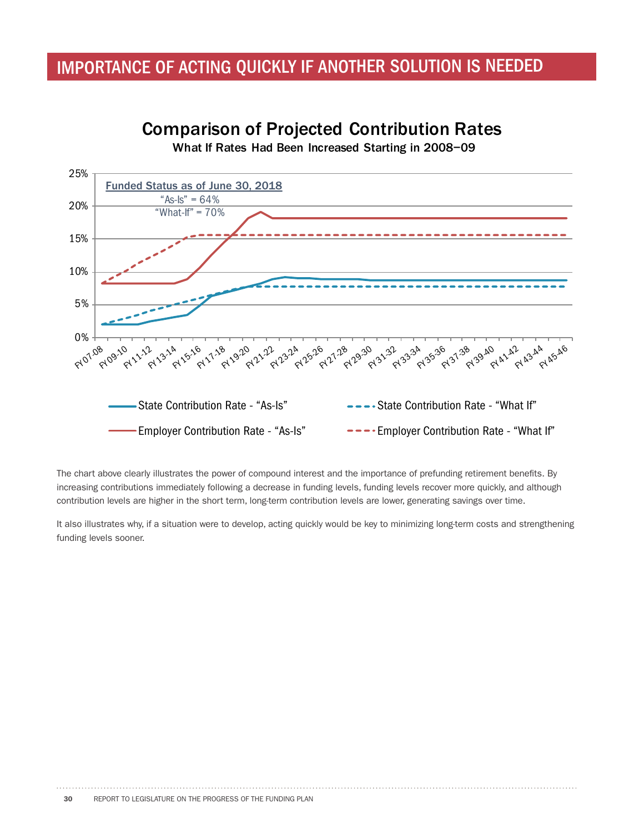#### IMPORTANCE OF ACTING QUICKLY IF ANOTHER SOLUTION IS NEEDED

#### 25% Funded Status as of June 30, 2018 "As-Is" =  $64\%$ <br>What-If" =  $70\%$ 20% í 15% 10% 5% 0% PLAS p1.3" p1.25" p1.21" p1.39" p1.34" p1.34 p1.34 p1.39" p1.41" p1.43 ଟ ଟ ୧ ଟ ଟ ଟ ୧ ଟ State Contribution Rate - "As-Is" ---- State Contribution Rate - "What If" Employer Contribution Rate - "As-Is" ---- Employer Contribution Rate - "What If"

**Comparison of Projected Contribution Rates** 

What If Rates Had Been Increased Starting in 2008-09

The chart above clearly illustrates the power of compound interest and the importance of prefunding retirement benefits. By increasing contributions immediately following a decrease in funding levels, funding levels recover more quickly, and although contribution levels are higher in the short term, long-term contribution levels are lower, generating savings over time.

It also illustrates why, if a situation were to develop, acting quickly would be key to minimizing long-term costs and strengthening funding levels sooner.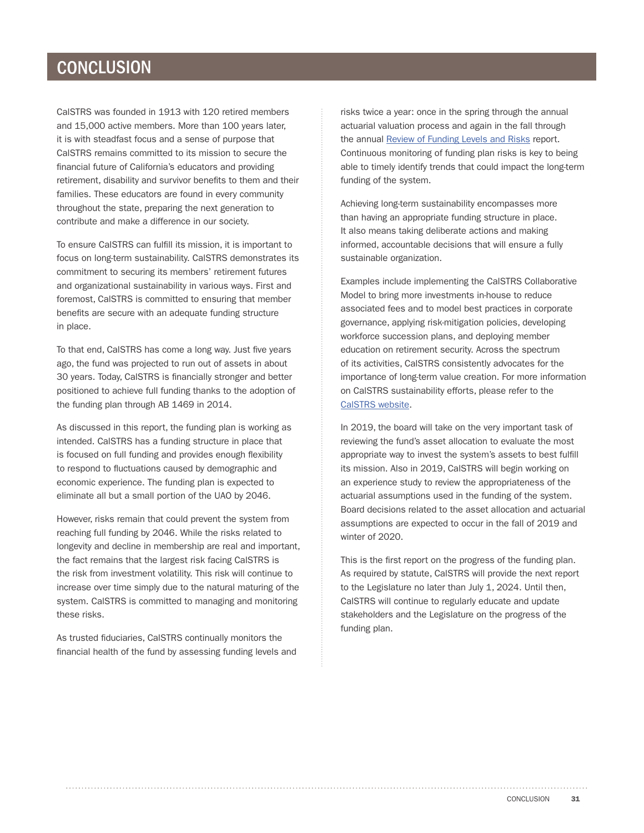#### **CONCLUSION**

CalSTRS was founded in 1913 with 120 retired members and 15,000 active members. More than 100 years later, it is with steadfast focus and a sense of purpose that CalSTRS remains committed to its mission to secure the financial future of California's educators and providing retirement, disability and survivor benefits to them and their families. These educators are found in every community throughout the state, preparing the next generation to contribute and make a difference in our society.

To ensure CalSTRS can fulfill its mission, it is important to focus on long-term sustainability. CalSTRS demonstrates its commitment to securing its members' retirement futures and organizational sustainability in various ways. First and foremost, CalSTRS is committed to ensuring that member benefits are secure with an adequate funding structure in place.

To that end, CalSTRS has come a long way. Just five years ago, the fund was projected to run out of assets in about 30 years. Today, CalSTRS is financially stronger and better positioned to achieve full funding thanks to the adoption of the funding plan through AB 1469 in 2014.

As discussed in this report, the funding plan is working as intended. CalSTRS has a funding structure in place that is focused on full funding and provides enough flexibility to respond to fluctuations caused by demographic and economic experience. The funding plan is expected to eliminate all but a small portion of the UAO by 2046.

However, risks remain that could prevent the system from reaching full funding by 2046. While the risks related to longevity and decline in membership are real and important, the fact remains that the largest risk facing CalSTRS is the risk from investment volatility. This risk will continue to increase over time simply due to the natural maturing of the system. CalSTRS is committed to managing and monitoring these risks.

As trusted fiduciaries, CalSTRS continually monitors the financial health of the fund by assessing funding levels and risks twice a year: once in the spring through the annual actuarial valuation process and again in the fall through the annual [Review of Funding Levels and Risks](https://www.calstrs.com/sites/main/files/file-attachments/funding_risk_report_2018.pdf) report. Continuous monitoring of funding plan risks is key to being able to timely identify trends that could impact the long-term funding of the system.

Achieving long-term sustainability encompasses more than having an appropriate funding structure in place. It also means taking deliberate actions and making informed, accountable decisions that will ensure a fully sustainable organization.

Examples include implementing the CalSTRS Collaborative Model to bring more investments in-house to reduce associated fees and to model best practices in corporate governance, applying risk-mitigation policies, developing workforce succession plans, and deploying member education on retirement security. Across the spectrum of its activities, CalSTRS consistently advocates for the importance of long-term value creation. For more information on CalSTRS sustainability efforts, please refer to the [CalSTRS website](https://www.calstrs.com/2017-18-sustainability-report).

In 2019, the board will take on the very important task of reviewing the fund's asset allocation to evaluate the most appropriate way to invest the system's assets to best fulfill its mission. Also in 2019, CalSTRS will begin working on an experience study to review the appropriateness of the actuarial assumptions used in the funding of the system. Board decisions related to the asset allocation and actuarial assumptions are expected to occur in the fall of 2019 and winter of 2020.

This is the first report on the progress of the funding plan. As required by statute, CalSTRS will provide the next report to the Legislature no later than July 1, 2024. Until then, CalSTRS will continue to regularly educate and update stakeholders and the Legislature on the progress of the funding plan.